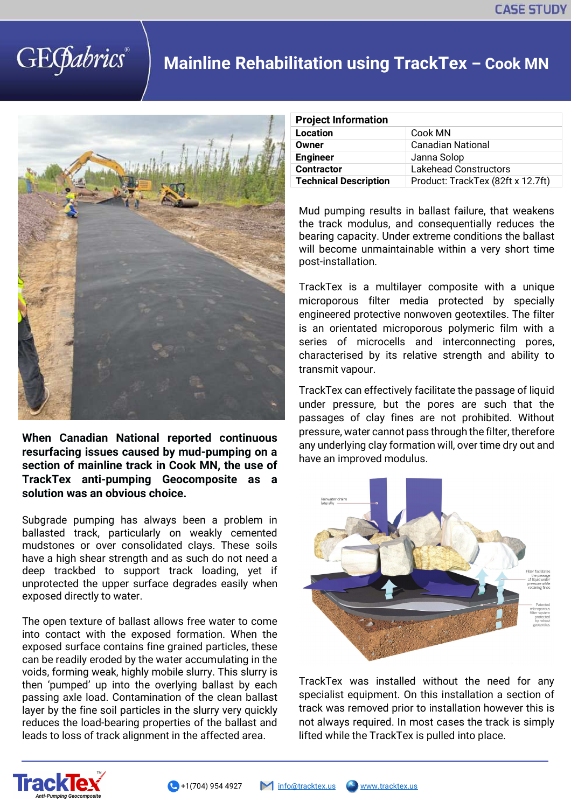## **GEGabrics**

## **Mainline Rehabilitation using TrackTex – Cook MN**



**When Canadian National reported continuous resurfacing issues caused by mud-pumping on a section of mainline track in Cook MN, the use of TrackTex anti-pumping Geocomposite as a solution was an obvious choice.** 

Subgrade pumping has always been a problem in ballasted track, particularly on weakly cemented mudstones or over consolidated clays. These soils have a high shear strength and as such do not need a deep trackbed to support track loading, yet if unprotected the upper surface degrades easily when exposed directly to water.

The open texture of ballast allows free water to come into contact with the exposed formation. When the exposed surface contains fine grained particles, these can be readily eroded by the water accumulating in the voids, forming weak, highly mobile slurry. This slurry is then 'pumped' up into the overlying ballast by each passing axle load. Contamination of the clean ballast layer by the fine soil particles in the slurry very quickly reduces the load-bearing properties of the ballast and leads to loss of track alignment in the affected area.

| <b>Project Information</b>   |                                   |
|------------------------------|-----------------------------------|
| Location                     | Cook MN                           |
| Owner                        | <b>Canadian National</b>          |
| <b>Engineer</b>              | Janna Solop                       |
| <b>Contractor</b>            | <b>Lakehead Constructors</b>      |
| <b>Technical Description</b> | Product: TrackTex (82ft x 12.7ft) |

Mud pumping results in ballast failure, that weakens the track modulus, and consequentially reduces the bearing capacity. Under extreme conditions the ballast will become unmaintainable within a very short time post-installation.

TrackTex is a multilayer composite with a unique microporous filter media protected by specially engineered protective nonwoven geotextiles. The filter is an orientated microporous polymeric film with a series of microcells and interconnecting pores, characterised by its relative strength and ability to transmit vapour.

TrackTex can effectively facilitate the passage of liquid under pressure, but the pores are such that the passages of clay fines are not prohibited. Without pressure, water cannot pass through the filter, therefore any underlying clay formation will, over time dry out and have an improved modulus.



TrackTex was installed without the need for any specialist equipment. On this installation a section of track was removed prior to installation however this is not always required. In most cases the track is simply lifted while the TrackTex is pulled into place.